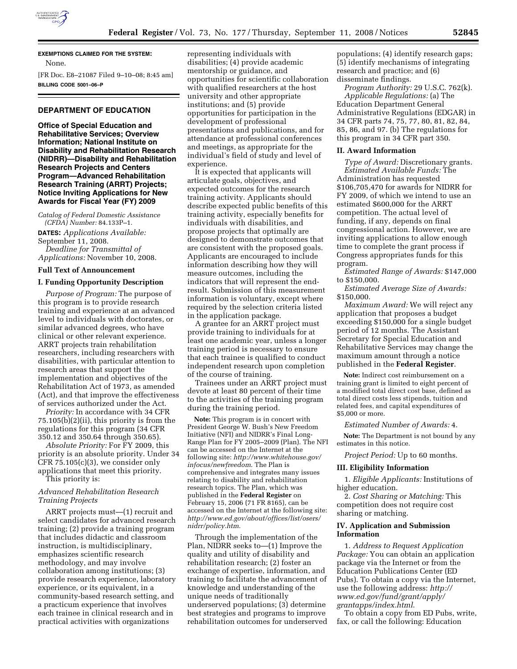

# **EXEMPTIONS CLAIMED FOR THE SYSTEM:**

None.

[FR Doc. E8–21087 Filed 9–10–08; 8:45 am] **BILLING CODE 5001–06–P** 

# **DEPARTMENT OF EDUCATION**

**Office of Special Education and Rehabilitative Services; Overview Information; National Institute on Disability and Rehabilitation Research (NIDRR)—Disability and Rehabilitation Research Projects and Centers Program—Advanced Rehabilitation Research Training (ARRT) Projects; Notice Inviting Applications for New Awards for Fiscal Year (FY) 2009** 

*Catalog of Federal Domestic Assistance (CFDA) Number:* 84.133P–1.

**DATES:** *Applications Available:*  September 11, 2008. *Deadline for Transmittal of Applications:* November 10, 2008.

#### **Full Text of Announcement**

### **I. Funding Opportunity Description**

*Purpose of Program:* The purpose of this program is to provide research training and experience at an advanced level to individuals with doctorates, or similar advanced degrees, who have clinical or other relevant experience. ARRT projects train rehabilitation researchers, including researchers with disabilities, with particular attention to research areas that support the implementation and objectives of the Rehabilitation Act of 1973, as amended (Act), and that improve the effectiveness of services authorized under the Act.

*Priority:* In accordance with 34 CFR 75.105(b)(2)(ii), this priority is from the regulations for this program (34 CFR 350.12 and 350.64 through 350.65).

*Absolute Priority:* For FY 2009, this priority is an absolute priority. Under 34 CFR 75.105(c)(3), we consider only applications that meet this priority. This priority is:

# *Advanced Rehabilitation Research Training Projects*

ARRT projects must—(1) recruit and select candidates for advanced research training; (2) provide a training program that includes didactic and classroom instruction, is multidisciplinary, emphasizes scientific research methodology, and may involve collaboration among institutions; (3) provide research experience, laboratory experience, or its equivalent, in a community-based research setting, and a practicum experience that involves each trainee in clinical research and in practical activities with organizations

representing individuals with disabilities; (4) provide academic mentorship or guidance, and opportunities for scientific collaboration with qualified researchers at the host university and other appropriate institutions; and (5) provide opportunities for participation in the development of professional presentations and publications, and for attendance at professional conferences and meetings, as appropriate for the individual's field of study and level of experience.

It is expected that applicants will articulate goals, objectives, and expected outcomes for the research training activity. Applicants should describe expected public benefits of this training activity, especially benefits for individuals with disabilities, and propose projects that optimally are designed to demonstrate outcomes that are consistent with the proposed goals. Applicants are encouraged to include information describing how they will measure outcomes, including the indicators that will represent the endresult. Submission of this measurement information is voluntary, except where required by the selection criteria listed in the application package.

A grantee for an ARRT project must provide training to individuals for at least one academic year, unless a longer training period is necessary to ensure that each trainee is qualified to conduct independent research upon completion of the course of training.

Trainees under an ARRT project must devote at least 80 percent of their time to the activities of the training program during the training period.

**Note:** This program is in concert with President George W. Bush's New Freedom Initiative (NFI) and NIDRR's Final Long-Range Plan for FY 2005–2009 (Plan). The NFI can be accessed on the Internet at the following site: *http://www.whitehouse.gov/ infocus/newfreedom*. The Plan is comprehensive and integrates many issues relating to disability and rehabilitation research topics. The Plan, which was published in the **Federal Register** on February 15, 2006 (71 FR 8165), can be accessed on the Internet at the following site: *http://www.ed.gov/about/offices/list/osers/ nidrr/policy.htm*.

Through the implementation of the Plan, NIDRR seeks to—(1) Improve the quality and utility of disability and rehabilitation research; (2) foster an exchange of expertise, information, and training to facilitate the advancement of knowledge and understanding of the unique needs of traditionally underserved populations; (3) determine best strategies and programs to improve rehabilitation outcomes for underserved

populations; (4) identify research gaps; (5) identify mechanisms of integrating research and practice; and (6) disseminate findings.

*Program Authority:* 29 U.S.C. 762(k). *Applicable Regulations:* (a) The Education Department General Administrative Regulations (EDGAR) in 34 CFR parts 74, 75, 77, 80, 81, 82, 84, 85, 86, and 97. (b) The regulations for this program in 34 CFR part 350.

#### **II. Award Information**

*Type of Award:* Discretionary grants. *Estimated Available Funds:* The Administration has requested \$106,705,470 for awards for NIDRR for FY 2009, of which we intend to use an estimated \$600,000 for the ARRT competition. The actual level of funding, if any, depends on final congressional action. However, we are inviting applications to allow enough time to complete the grant process if Congress appropriates funds for this program.

*Estimated Range of Awards:* \$147,000 to \$150,000.

*Estimated Average Size of Awards:*  \$150,000.

*Maximum Award:* We will reject any application that proposes a budget exceeding \$150,000 for a single budget period of 12 months. The Assistant Secretary for Special Education and Rehabilitative Services may change the maximum amount through a notice published in the **Federal Register**.

**Note:** Indirect cost reimbursement on a training grant is limited to eight percent of a modified total direct cost base, defined as total direct costs less stipends, tuition and related fees, and capital expenditures of \$5,000 or more.

#### *Estimated Number of Awards:* 4.

**Note:** The Department is not bound by any estimates in this notice.

*Project Period:* Up to 60 months.

### **III. Eligibility Information**

1. *Eligible Applicants:* Institutions of higher education.

2. *Cost Sharing or Matching:* This competition does not require cost sharing or matching.

# **IV. Application and Submission Information**

1. *Address to Request Application Package:* You can obtain an application package via the Internet or from the Education Publications Center (ED Pubs). To obtain a copy via the Internet, use the following address: *http:// www.ed.gov/fund/grant/apply/ grantapps/index.html*.

To obtain a copy from ED Pubs, write, fax, or call the following: Education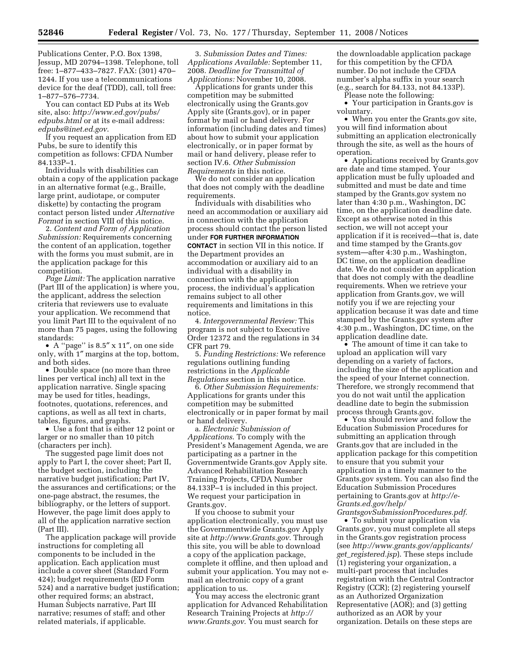Publications Center, P.O. Box 1398, Jessup, MD 20794–1398. Telephone, toll free: 1–877–433–7827. FAX: (301) 470– 1244. If you use a telecommunications device for the deaf (TDD), call, toll free: 1–877–576–7734.

You can contact ED Pubs at its Web site, also: *http://www.ed.gov/pubs/ edpubs.html* or at its e-mail address: *edpubs@inet.ed.gov*.

If you request an application from ED Pubs, be sure to identify this competition as follows: CFDA Number 84.133P–1.

Individuals with disabilities can obtain a copy of the application package in an alternative format (e.g., Braille, large print, audiotape, or computer diskette) by contacting the program contact person listed under *Alternative Format* in section VIII of this notice.

2. *Content and Form of Application Submission:* Requirements concerning the content of an application, together with the forms you must submit, are in the application package for this competition.

*Page Limit:* The application narrative (Part III of the application) is where you, the applicant, address the selection criteria that reviewers use to evaluate your application. We recommend that you limit Part III to the equivalent of no more than 75 pages, using the following standards:

• A ''page'' is 8.5″ x 11″, on one side only, with 1″ margins at the top, bottom, and both sides.

• Double space (no more than three lines per vertical inch) all text in the application narrative. Single spacing may be used for titles, headings, footnotes, quotations, references, and captions, as well as all text in charts, tables, figures, and graphs.

• Use a font that is either 12 point or larger or no smaller than 10 pitch (characters per inch).

The suggested page limit does not apply to Part I, the cover sheet; Part II, the budget section, including the narrative budget justification; Part IV, the assurances and certifications; or the one-page abstract, the resumes, the bibliography, or the letters of support. However, the page limit does apply to all of the application narrative section (Part III).

The application package will provide instructions for completing all components to be included in the application. Each application must include a cover sheet (Standard Form 424); budget requirements (ED Form 524) and a narrative budget justification; other required forms; an abstract, Human Subjects narrative, Part III narrative; resumes of staff; and other related materials, if applicable.

3. *Submission Dates and Times: Applications Available:* September 11, 2008. *Deadline for Transmittal of Applications:* November 10, 2008.

Applications for grants under this competition may be submitted electronically using the Grants.gov Apply site (Grants.gov), or in paper format by mail or hand delivery. For information (including dates and times) about how to submit your application electronically, or in paper format by mail or hand delivery, please refer to section IV.6. *Other Submission Requirements* in this notice.

We do not consider an application that does not comply with the deadline requirements.

Individuals with disabilities who need an accommodation or auxiliary aid in connection with the application process should contact the person listed under **FOR FURTHER INFORMATION CONTACT** in section VII in this notice. If the Department provides an accommodation or auxiliary aid to an individual with a disability in connection with the application process, the individual's application remains subject to all other requirements and limitations in this notice.

4. *Intergovernmental Review:* This program is not subject to Executive Order 12372 and the regulations in 34 CFR part 79.

5. *Funding Restrictions:* We reference regulations outlining funding restrictions in the *Applicable Regulations* section in this notice.

6. *Other Submission Requirements:*  Applications for grants under this competition may be submitted electronically or in paper format by mail or hand delivery.

a. *Electronic Submission of Applications*. To comply with the President's Management Agenda, we are participating as a partner in the Governmentwide Grants.gov Apply site. Advanced Rehabilitation Research Training Projects, CFDA Number 84.133P–1 is included in this project. We request your participation in Grants.gov.

If you choose to submit your application electronically, you must use the Governmentwide Grants.gov Apply site at *http://www.Grants.gov*. Through this site, you will be able to download a copy of the application package, complete it offline, and then upload and submit your application. You may not email an electronic copy of a grant application to us.

You may access the electronic grant application for Advanced Rehabilitation Research Training Projects at *http:// www.Grants.gov*. You must search for

the downloadable application package for this competition by the CFDA number. Do not include the CFDA number's alpha suffix in your search (e.g., search for 84.133, not 84.133P).

Please note the following: • Your participation in Grants.gov is voluntary.

• When you enter the Grants.gov site, you will find information about submitting an application electronically through the site, as well as the hours of operation.

• Applications received by Grants.gov are date and time stamped. Your application must be fully uploaded and submitted and must be date and time stamped by the Grants.gov system no later than 4:30 p.m., Washington, DC time, on the application deadline date. Except as otherwise noted in this section, we will not accept your application if it is received—that is, date and time stamped by the Grants.gov system—after 4:30 p.m., Washington, DC time, on the application deadline date. We do not consider an application that does not comply with the deadline requirements. When we retrieve your application from Grants.gov, we will notify you if we are rejecting your application because it was date and time stamped by the Grants.gov system after 4:30 p.m., Washington, DC time, on the application deadline date.

• The amount of time it can take to upload an application will vary depending on a variety of factors, including the size of the application and the speed of your Internet connection. Therefore, we strongly recommend that you do not wait until the application deadline date to begin the submission process through Grants.gov.

• You should review and follow the Education Submission Procedures for submitting an application through Grants.gov that are included in the application package for this competition to ensure that you submit your application in a timely manner to the Grants.gov system. You can also find the Education Submission Procedures pertaining to Grants.gov at *http://e-Grants.ed.gov/help/ GrantsgovSubmissionProcedures.pdf*.

• To submit your application via Grants.gov, you must complete all steps in the Grants.gov registration process (see *http://www.grants.gov/applicants/ get*\_*registered.jsp*). These steps include (1) registering your organization, a multi-part process that includes registration with the Central Contractor Registry (CCR); (2) registering yourself as an Authorized Organization Representative (AOR); and (3) getting authorized as an AOR by your organization. Details on these steps are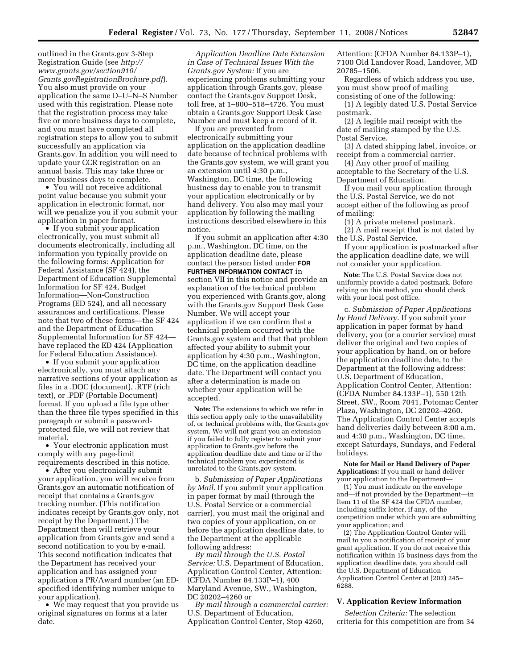outlined in the Grants.gov 3-Step Registration Guide (see *http:// www.grants.gov/section910/ Grants.govRegistrationBrochure.pdf*). You also must provide on your application the same D–U–N–S Number used with this registration. Please note that the registration process may take five or more business days to complete, and you must have completed all registration steps to allow you to submit successfully an application via Grants.gov. In addition you will need to update your CCR registration on an annual basis. This may take three or more business days to complete.

• You will not receive additional point value because you submit your application in electronic format, nor will we penalize you if you submit your application in paper format.

• If you submit your application electronically, you must submit all documents electronically, including all information you typically provide on the following forms: Application for Federal Assistance (SF 424), the Department of Education Supplemental Information for SF 424, Budget Information—Non-Construction Programs (ED 524), and all necessary assurances and certifications. Please note that two of these forms—the SF 424 and the Department of Education Supplemental Information for SF 424 have replaced the ED 424 (Application for Federal Education Assistance).

• If you submit your application electronically, you must attach any narrative sections of your application as files in a .DOC (document), .RTF (rich text), or .PDF (Portable Document) format. If you upload a file type other than the three file types specified in this paragraph or submit a passwordprotected file, we will not review that material.

• Your electronic application must comply with any page-limit requirements described in this notice.

• After you electronically submit your application, you will receive from Grants.gov an automatic notification of receipt that contains a Grants.gov tracking number. (This notification indicates receipt by Grants.gov only, not receipt by the Department.) The Department then will retrieve your application from Grants.gov and send a second notification to you by e-mail. This second notification indicates that the Department has received your application and has assigned your application a PR/Award number (an EDspecified identifying number unique to your application).

• We may request that you provide us original signatures on forms at a later date.

*Application Deadline Date Extension in Case of Technical Issues With the Grants.gov System:* If you are experiencing problems submitting your application through Grants.gov, please contact the Grants.gov Support Desk, toll free, at 1–800–518–4726. You must obtain a Grants.gov Support Desk Case Number and must keep a record of it.

If you are prevented from electronically submitting your application on the application deadline date because of technical problems with the Grants.gov system, we will grant you an extension until 4:30 p.m., Washington, DC time, the following business day to enable you to transmit your application electronically or by hand delivery. You also may mail your application by following the mailing instructions described elsewhere in this notice.

If you submit an application after 4:30 p.m., Washington, DC time, on the application deadline date, please contact the person listed under **FOR FURTHER INFORMATION CONTACT** in section VII in this notice and provide an explanation of the technical problem you experienced with Grants.gov, along with the Grants.gov Support Desk Case Number. We will accept your application if we can confirm that a technical problem occurred with the Grants.gov system and that that problem affected your ability to submit your application by 4:30 p.m., Washington, DC time, on the application deadline date. The Department will contact you after a determination is made on whether your application will be accepted.

**Note:** The extensions to which we refer in this section apply only to the unavailability of, or technical problems with, the Grants.gov system. We will not grant you an extension if you failed to fully register to submit your application to Grants.gov before the application deadline date and time or if the technical problem you experienced is unrelated to the Grants.gov system.

b. *Submission of Paper Applications by Mail*. If you submit your application in paper format by mail (through the U.S. Postal Service or a commercial carrier), you must mail the original and two copies of your application, on or before the application deadline date, to the Department at the applicable following address:

*By mail through the U.S. Postal Service:* U.S. Department of Education, Application Control Center, Attention: (CFDA Number 84.133P–1), 400 Maryland Avenue, SW., Washington, DC 20202–4260 or

*By mail through a commercial carrier:*  U.S. Department of Education, Application Control Center, Stop 4260,

Attention: (CFDA Number 84.133P–1), 7100 Old Landover Road, Landover, MD 20785–1506.

Regardless of which address you use, you must show proof of mailing consisting of one of the following:

(1) A legibly dated U.S. Postal Service postmark.

(2) A legible mail receipt with the date of mailing stamped by the U.S. Postal Service.

(3) A dated shipping label, invoice, or receipt from a commercial carrier.

(4) Any other proof of mailing acceptable to the Secretary of the U.S. Department of Education.

If you mail your application through the U.S. Postal Service, we do not accept either of the following as proof of mailing:

(1) A private metered postmark.

(2) A mail receipt that is not dated by the U.S. Postal Service.

If your application is postmarked after the application deadline date, we will not consider your application.

**Note:** The U.S. Postal Service does not uniformly provide a dated postmark. Before relying on this method, you should check with your local post office.

c. *Submission of Paper Applications by Hand Delivery*. If you submit your application in paper format by hand delivery, you (or a courier service) must deliver the original and two copies of your application by hand, on or before the application deadline date, to the Department at the following address: U.S. Department of Education, Application Control Center, Attention: (CFDA Number 84.133P–1), 550 12th Street, SW., Room 7041, Potomac Center Plaza, Washington, DC 20202–4260. The Application Control Center accepts hand deliveries daily between 8:00 a.m. and 4:30 p.m., Washington, DC time, except Saturdays, Sundays, and Federal holidays.

**Note for Mail or Hand Delivery of Paper Applications:** If you mail or hand deliver your application to the Department—

(1) You must indicate on the envelope and—if not provided by the Department—in Item 11 of the SF 424 the CFDA number, including suffix letter, if any, of the competition under which you are submitting your application; and

(2) The Application Control Center will mail to you a notification of receipt of your grant application. If you do not receive this notification within 15 business days from the application deadline date, you should call the U.S. Department of Education Application Control Center at (202) 245– 6288.

#### **V. Application Review Information**

*Selection Criteria:* The selection criteria for this competition are from 34